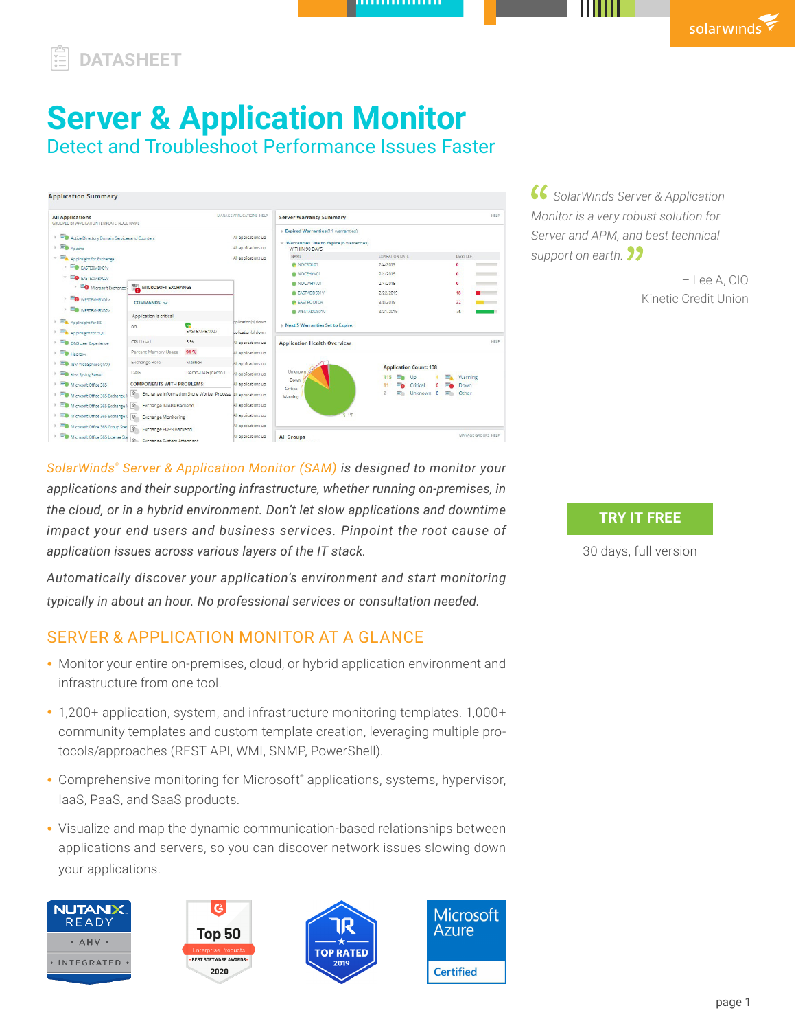# **DATASHEET**

# **Server & Application Monitor** Detect and Troubleshoot Performance Issues Faster

| MANAGE APPLICATIONS HELP<br><b>All Applications</b><br>GROUPED BY APPLICATION TEMPLATE. NODE NAME<br>Active Directory Domain Services and Counters<br>All applications up<br>$\mathbb{F}$ Apache<br>All applications up |                                                                                 |                    |                                           | <b>HELP</b><br><b>Server Warranty Summary</b>                                                     |                        |    |                               |                    |                    |      |
|-------------------------------------------------------------------------------------------------------------------------------------------------------------------------------------------------------------------------|---------------------------------------------------------------------------------|--------------------|-------------------------------------------|---------------------------------------------------------------------------------------------------|------------------------|----|-------------------------------|--------------------|--------------------|------|
|                                                                                                                                                                                                                         |                                                                                 |                    |                                           | Expired Warranties (11 warranties)<br>- Warranties Due to Expire (6 warranties)<br>WITHIN 90 DAYS |                        |    |                               |                    |                    |      |
| Applicight for Exchange<br>EN EASTEXMEXO1v<br><b>ED EASTEXMEXO2v</b>                                                                                                                                                    |                                                                                 |                    | All applications up                       | NAME.                                                                                             | <b>EXPIRATION DATE</b> |    |                               |                    | DAYS LEFT          |      |
|                                                                                                                                                                                                                         |                                                                                 |                    |                                           | NOCSQL01                                                                                          | 2/4/2019               |    |                               |                    | $\mathbf{a}$       |      |
|                                                                                                                                                                                                                         |                                                                                 |                    |                                           | NOCEHYV01                                                                                         | 2/4/2019               |    |                               |                    | n                  |      |
| Microsoft Exchange                                                                                                                                                                                                      | MICROSOFT EXCHANGE<br>COMMANDS V                                                |                    |                                           | NOCWHYV01                                                                                         | 2/4/2019               |    |                               |                    | $\Omega$           |      |
| <b>EQ WESTERMEXO1v</b>                                                                                                                                                                                                  |                                                                                 |                    |                                           | <b>EASTADDS01V</b>                                                                                | 2/22/2019              |    |                               |                    | 18                 |      |
|                                                                                                                                                                                                                         |                                                                                 |                    |                                           | <b>BASTROOTCA</b>                                                                                 | 3/8/2019               |    |                               |                    | 32                 |      |
| WESTEXMEX02v                                                                                                                                                                                                            | Application is critical.                                                        |                    |                                           | WESTADDS01V                                                                                       | 4/21/2019              |    |                               |                    | 76                 |      |
| Appliesight for IIS                                                                                                                                                                                                     | on                                                                              | Q.<br>EASTEXMBX02v | bolication(s) down                        | > Next 5 Warranties Set to Expire.                                                                |                        |    |                               |                    |                    |      |
| Appinsight for SQL<br>DNS User Experience                                                                                                                                                                               | CPU Load                                                                        | 3%                 | bolication(s) down<br>All applications up | <b>Application Health Overview</b>                                                                |                        |    |                               |                    |                    | HELP |
| $\mathbf{H}$ Haproxy                                                                                                                                                                                                    | Percent Memory Usage                                                            | 91%                | All applications up                       |                                                                                                   |                        |    |                               |                    |                    |      |
| <b>ED IBM WebSphere (JMX)</b>                                                                                                                                                                                           | Exchange Role<br>Mailbox                                                        |                    | All applications up                       |                                                                                                   |                        |    | <b>Application Count: 138</b> |                    |                    |      |
| Kiwi Syslog Server                                                                                                                                                                                                      | DAG.                                                                            | Demo-DAG (demo.l   | All applications up                       | Unknown                                                                                           | 115                    | E. | Up                            | $\Xi_{\mathbf{k}}$ | Warning            |      |
| Microsoft Office 365<br>$\mathbb{R}^n$                                                                                                                                                                                  | <b>COMPONENTS WITH PROBLEMS:</b>                                                |                    | All applications up                       | Down<br>Critical                                                                                  | 11                     |    | Critical                      | 6                  | Down               |      |
| Microsoft Office 365 Exchange 1                                                                                                                                                                                         | $\circledcirc$<br>Exchange Information Store Worker Process All applications up |                    |                                           | Warning                                                                                           | $\overline{2}$         | E. | Unknown 0                     | $=$                | Other              |      |
| Microsoft Office 365 Exchange I                                                                                                                                                                                         | $\Theta$<br>Exchange IMAP4 Backend                                              |                    | All applications up                       |                                                                                                   |                        |    |                               |                    |                    |      |
| Microsoft Office 365 Exchange ( @1)                                                                                                                                                                                     | <b>Exchange Monitoring</b>                                                      |                    | All applications up.                      | Up                                                                                                |                        |    |                               |                    |                    |      |
| Microsoft Office 365 Group Stat   @                                                                                                                                                                                     | Exchange POP3 Backend                                                           |                    | All applications up                       |                                                                                                   |                        |    |                               |                    |                    |      |
| Microsoft Office 365 License Star (2011) 2010 10:00:00 Attendant                                                                                                                                                        |                                                                                 |                    | All applications up.                      | <b>All Groups</b>                                                                                 |                        |    |                               |                    | MANAGE GROUPS HELP |      |

*SolarWinds Server & Application Monitor is a very robust solution for Server and APM, and best technical support on earth.*

> – Lee A, CIO Kinetic Credit Union

*SolarWinds®  [Server & Application Monitor \(SAM\)](http://www.solarwinds.com/server-application-monitor) is designed to monitor your applications and their supporting infrastructure, whether running on-premises, in the cloud, or in a hybrid environment. Don't let slow applications and downtime impact your end users and business services. Pinpoint the root cause of application issues across various layers of the IT stack.*

*Automatically discover your application's environment and start monitoring typically in about an hour. No professional services or consultation needed.*

# SERVER & APPLICATION MONITOR AT A GLANCE

- Monitor your entire on-premises, cloud, or hybrid application environment and infrastructure from one tool.
- 1,200+ application, system, and infrastructure monitoring templates. 1,000+ community templates and custom template creation, leveraging multiple protocols/approaches (REST API, WMI, SNMP, PowerShell).
- Comprehensive monitoring for Microsoft® applications, systems, hypervisor, IaaS, PaaS, and SaaS products.
- Visualize and map the dynamic communication-based relationships between applications and servers, so you can discover network issues slowing down your applications.











[30 days, full version](https://www.solarwinds.com/server-application-monitor/registration?CMP=LEC-DTST-SWI-SW_WW_X_PP_X_LD_EN_SAMGEN_SW-SAM-20200800_DATASHEET_X_OF1_X_X-X)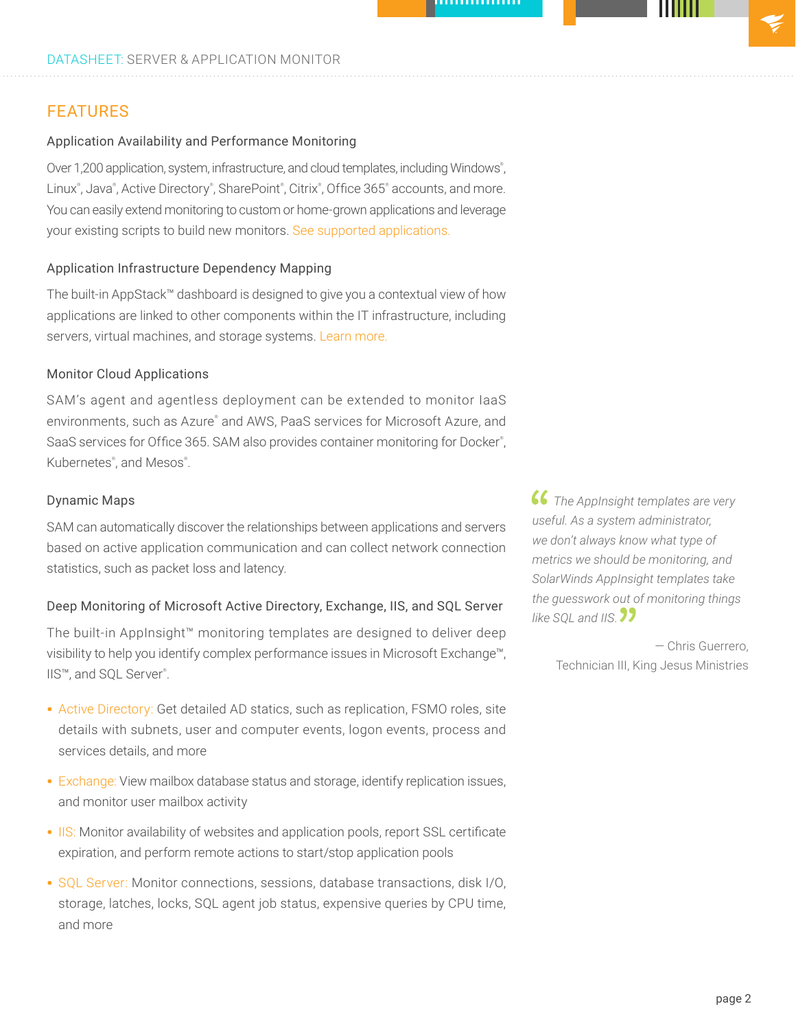## FEATURES

#### Application Availability and Performance Monitoring

Over 1,200 application, system, infrastructure, and cloud templates, including Windows<sup>®</sup>, Linux®, Java®, Active Directory®, SharePoint®, Citrix®, Office 365® accounts, and more. You can easily extend monitoring to custom or home-grown applications and leverage your existing scripts to build new monitors. [See supported applications.](www.solarwinds.com/server-application-monitor/supported-vendors?)

#### Application Infrastructure Dependency Mapping

The built-in AppStack™ dashboard is designed to give you a contextual view of how applications are linked to other components within the IT infrastructure, including servers, virtual machines, and storage systems. [Learn more.](https://www.solarwinds.com/systems-management-bundle)

#### Monitor Cloud Applications

SAM's agent and agentless deployment can be extended to monitor IaaS environments, such as Azure® and AWS, PaaS services for Microsoft Azure, and SaaS services for Office 365. SAM also provides container monitoring for Docker<sup>®</sup>, Kubernetes®, and Mesos®.

#### Dynamic Maps

SAM can automatically discover the relationships between applications and servers based on active application communication and can collect network connection statistics, such as packet loss and latency.

#### Deep Monitoring of Microsoft Active Directory, Exchange, IIS, and SQL Server

The built-in AppInsight™ monitoring templates are designed to deliver deep visibility to help you identify complex performance issues in Microsoft Exchange™, IIS™, and SQL Server®.

- [Active Directory: G](https://www.solarwinds.com/server-application-monitor/use-cases/active-directory-monitor)et detailed AD statics, such as replication, FSMO roles, site details with subnets, user and computer events, logon events, process and services details, and more
- [Exchange:](https://www.solarwinds.com/server-application-monitor/use-cases/exchange-server-monitor?) View mailbox database status and storage, identify replication issues, and monitor user mailbox activity
- IS: Monitor availability of websites and application pools, report SSL certificate expiration, and perform remote actions to start/stop application pools
- [SQL Server:](https://www.solarwinds.com/server-application-monitor/use-cases/sql-server-performance-monitor) Monitor connections, sessions, database transactions, disk I/O, storage, latches, locks, SQL agent job status, expensive queries by CPU time, and more

*The AppInsight templates are very useful. As a system administrator, we don't always know what type of metrics we should be monitoring, and SolarWinds AppInsight templates take the guesswork out of monitoring things like SQL and IIS.* 

> — Chris Guerrero, Technician III, King Jesus Ministries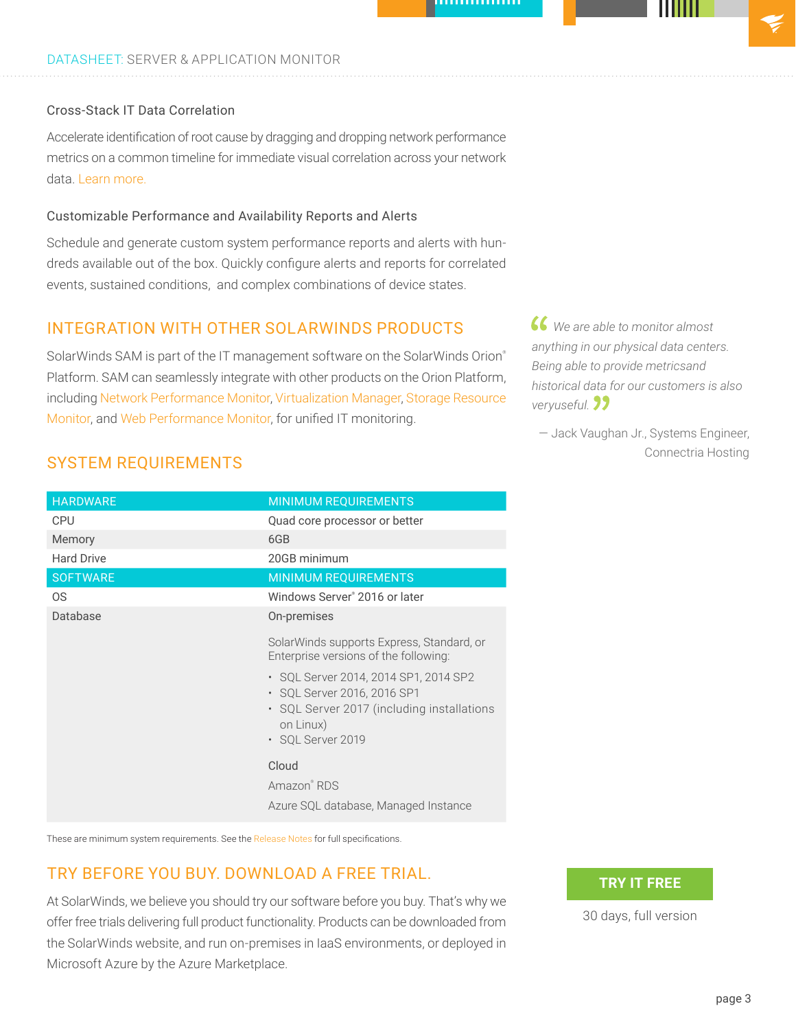## DATASHEET: SERVER & APPLICATION MONITOR

## Cross-Stack IT Data Correlation

Accelerate identification of root cause by dragging and dropping network performance metrics on a common timeline for immediate visual correlation across your network data. [Learn more.](https://www.solarwinds.com/perfstack?)

## Customizable Performance and Availability Reports and Alerts

Schedule and generate custom system performance reports and alerts with hundreds available out of the box. Quickly configure alerts and reports for correlated events, sustained conditions, and complex combinations of device states.

# INTEGRATION WITH OTHER SOLARWINDS PRODUCTS

SolarWinds SAM is part of the IT management software on the SolarWinds Orion® Platform. SAM can seamlessly integrate with other products on the Orion Platform, including [Network Performance Monitor,](https://www.solarwinds.com/network-performance-monitor?) [Virtualization Manager,](https://www.solarwinds.com/virtualization-manager?) [Storage Resource](https://www.solarwinds.com/storage-resource-monitor?)  [Monitor,](mailto:https://www.solarwinds.com/storage-resource-monitor?subject=) and [Web Performance Monitor](http://www.solarwinds.com/web-performance-monitor.aspx?), for unified IT monitoring.

*We are able to monitor almost anything in our physical data centers. Being able to provide metricsand historical data for our customers is also veryuseful.* 

— Jack Vaughan Jr., Systems Engineer, Connectria Hosting

| <b>HARDWARE</b>   | <b>MINIMUM REQUIREMENTS</b>                                                                                                                          |
|-------------------|------------------------------------------------------------------------------------------------------------------------------------------------------|
| <b>CPU</b>        | Quad core processor or better                                                                                                                        |
| Memory            | 6GB                                                                                                                                                  |
| <b>Hard Drive</b> | 20GB minimum                                                                                                                                         |
| <b>SOFTWARE</b>   | <b>MINIMUM REQUIREMENTS</b>                                                                                                                          |
| 0S                | Windows Server <sup>®</sup> 2016 or later                                                                                                            |
| Database          | On-premises                                                                                                                                          |
|                   | SolarWinds supports Express, Standard, or<br>Enterprise versions of the following:                                                                   |
|                   | • SQL Server 2014, 2014 SP1, 2014 SP2<br>• SQL Server 2016, 2016 SP1<br>• SQL Server 2017 (including installations<br>on Linux)<br>· SQL Server 2019 |
|                   | Cloud<br>Amazon <sup>®</sup> RDS                                                                                                                     |
|                   | Azure SQL database, Managed Instance                                                                                                                 |

## SYSTEM REQUIREMENTS

These are minimum system requirements. See the [Release Notes](https://support.solarwinds.com/SuccessCenter/s/?) for full specifications.

# TRY BEFORE YOU BUY. DOWNLOAD A FREE TRIAL.

At SolarWinds, we believe you should try our software before you buy. That's why we offer free trials delivering full product functionality. Products can be downloaded from the SolarWinds website, and run on-premises in IaaS environments, or deployed in Microsoft Azure by the Azure Marketplace.

## **[TRY IT FREE](https://www.solarwinds.com/server-application-monitor/registration?CMP=LEC-DTST-SWI-SW_WW_X_PP_X_LD_EN_SAMGEN_SW-SAM-20200800_DATASHEET_X_OF2_X_X-X)**

[30 days, full version](https://www.solarwinds.com/server-application-monitor/registration?CMP=LEC-DTST-SWI-SW_WW_X_PP_X_LD_EN_SAMGEN_SW-SAM-20200800_DATASHEET_X_OF2_X_X-X)